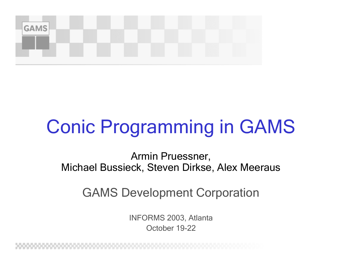

# Conic Programming in GAMS

Armin Pruessner, Michael Bussieck, Steven Dirkse, Alex Meeraus

GAMS Development Corporation

INFORMS 2003, Atlanta October 19-22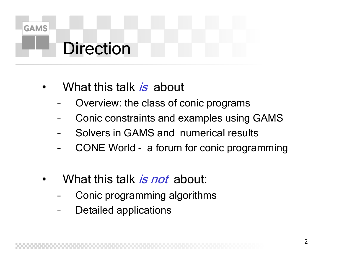

### Direction

- •• What this talk *is* about
	- Overview: the class of conic programs
	- Conic constraints and examples using GAMS
	- –Solvers in GAMS and numerical results
	- –CONE World - a forum for conic programming
- •What this talk *is not* about:
	- –Conic programming algorithms
	- –Detailed applications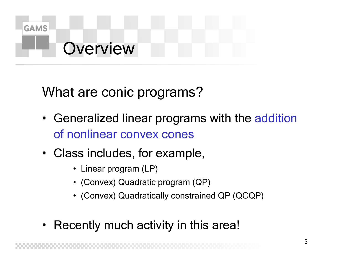

### **Overview**

What are conic programs?

- Generalized linear programs with the addition of nonlinear convex cones
- Class includes, for example,
	- Linear program (LP)
	- (Convex) Quadratic program (QP)
	- (Convex) Quadratically constrained QP (QCQP)
- •Recently much activity in this area!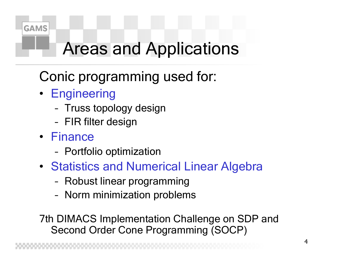

## Areas and Applications

### Conic programming used for:

- Engineering
	- Truss topology design
	- FIR filter design
- Finance
	- Portfolio optimization
- Stati stics and Numerical Linear Algebra
	- Robust linear programming
	- Norm minimization problems

7th DIMACS Implementation Challenge on SDP and Second Order Cone Programming (SOCP)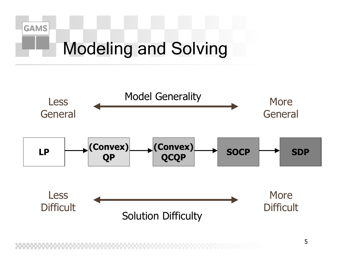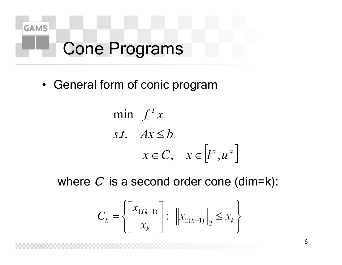

## **Cone Programs**

• General form of conic program

min 
$$
f^T x
$$
  
s.t.  $Ax \leq b$   
 $x \in C, \quad x \in [l^x, u^x]$ 

where  $C$  is a second order cone (dim=k):

$$
C_k = \left\{ \begin{bmatrix} x_{1:(k-1)} \\ x_k \end{bmatrix} : \; \left\| x_{1:(k-1)} \right\|_2 \le x_k \right\}
$$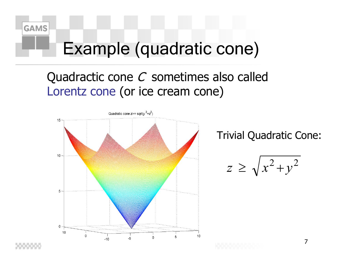

## Example (quadratic cone)

### Quadractic cone  $C$  sometimes also called Lorentz cone (or ice cream cone)



Trivial Quadratic Cone:

$$
z \ge \sqrt{x^2 + y^2}
$$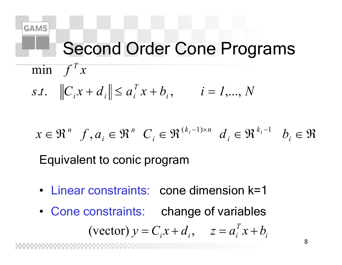

*T*

min  $f'x$ 

# Second Order Cone Programs

 $+ d_i \| \leq a_i^T x + b_i^-, \qquad i =$ *T*  $\int_{0}^{t} |C_i x + d_i| \leq a_i^T x + b_i, \qquad i = 1,..., N$ 

 $\in \mathbb{R}^n$   $f, a_i \in \mathbb{R}^n$   $C_i \in \mathbb{R}^{(\kappa_i-1)\times n}$   $d_i \in \mathbb{R}^{\kappa_i-1}$   $b_i \in \mathbb{R}$  $-1 \times n$   $\boldsymbol{\mathcal{J}}$   $\boldsymbol{\Omega}$   $\boldsymbol{k}_i$  – *ik i* $k_i-1 \times n$ *in i* $x \in \Re^n$   $f, a_i \in \Re^n$   $C_i \in \Re^{(\kappa_i - 1) \times n}$   $d_i \in \Re^{\kappa_i - 1}$  b  $(k_i-1)\times n$  *d*  $\in \Omega$   $k_i-1$ ,

Equivalent to conic program

- Linear constraints: cone dimension k=1
- Cone constraints: change of variables (vector)  $y = C_i x + d_i$ ,  $z = a_i^T x + b_i$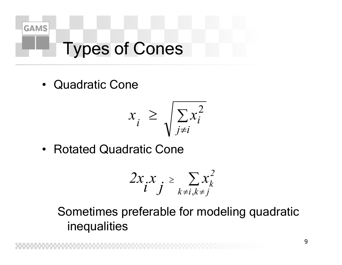

# Types of Cones

•Quadratic Cone

$$
x_i \ge \sqrt{\sum_{j \ne i} x_i^2}
$$

•Rotated Quadratic Cone

$$
2x_i x_j \ge \sum_{k \ne i, k \ne j} x_k^2
$$

Sometimes preferable for modeling quadratic inequalities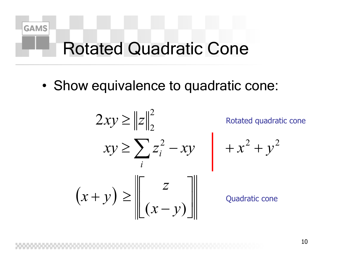

## **Rotated Quadratic Cone**

• Show equivalence to quadratic cone:

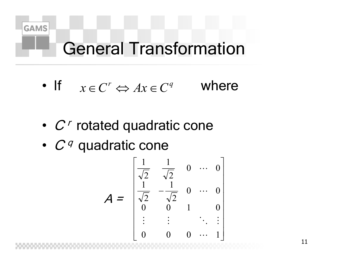

# General Transformation

- If  $x \in C^r \Leftrightarrow Ax \in C^q$  where
- ••  $C<sup>r</sup>$  rotated quadratic cone
- ••  $C$ <sup> $q$ </sup> quadratic cone

$$
\mathbf{A} = \begin{bmatrix} \frac{1}{\sqrt{2}} & \frac{1}{\sqrt{2}} & 0 & \cdots & 0 \\ \frac{1}{\sqrt{2}} & -\frac{1}{\sqrt{2}} & 0 & \cdots & 0 \\ 0 & 0 & 1 & 0 \\ \vdots & \vdots & \vdots & \ddots & \vdots \\ 0 & 0 & 0 & \cdots & 1 \end{bmatrix}
$$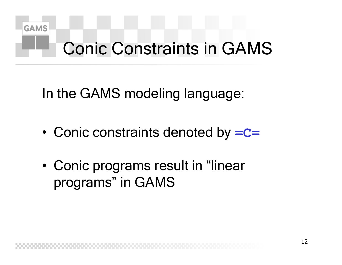

# Conic Constraints in GAMS

In the GAMS modeling language:

- •Conic constraints denoted by **=C=**
- •• Conic programs result in "linear programs" in GAMS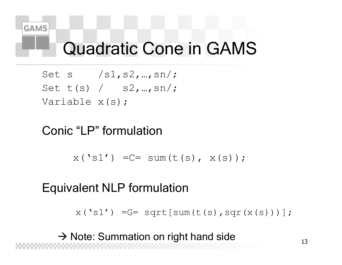## Quadratic Cone in GAMS

Set s  $/s1, s2, ..., sn/$ ; Set t(s) / s2,…,sn/; Variable x(s);

### Conic "LP" formulation

 $x('s1') = C = sum(t(s), x(s));$ 

### Equivalent NLP formulation

 $x('s1')$  = G = sqrt [sum (t (s), sqr (x (s)))];

 $\rightarrow$  Note: Summation on right hand side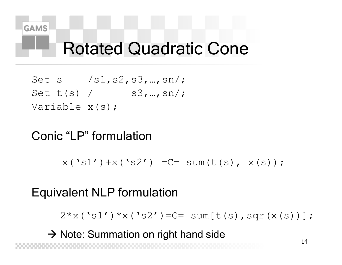

### Rotated Quadratic Cone

Set s  $/s1, s2, s3, ..., sn/$ ; Set  $t(s)$  /  $s3,...,sn/$ ; Variable x(s);

### Conic "LP" formulation

 $x('s1') + x('s2') = C = sum(t(s), x(s));$ 

### Equivalent NLP formulation

 $2*x('s1') *x('s2')=G= sum[t(s),sqr(x(s))]$ ;

 $\rightarrow$  Note: Summation on right hand side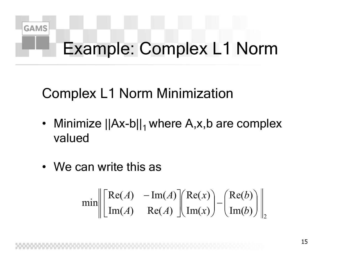

# Example: Complex L1 Norm

### Complex L1 Norm Minimization

- Minimize  $||Ax-b||_1$  where A,x,b are complex valued
- •We can write this as

$$
\min \left\| \begin{bmatrix} \text{Re}(A) & -\text{Im}(A) \\ \text{Im}(A) & \text{Re}(A) \end{bmatrix} \begin{bmatrix} \text{Re}(x) \\ \text{Im}(x) \end{bmatrix} - \begin{bmatrix} \text{Re}(b) \\ \text{Im}(b) \end{bmatrix} \right\|_{2}
$$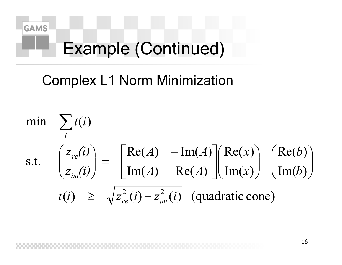

# Example (Continued)

### Complex L1 Norm Minimization

$$
\begin{aligned}\n\min \quad & \sum_{i} t(i) \\
\text{s.t.} \quad & \begin{pmatrix} z_{re}(i) \\ z_{im}(i) \end{pmatrix} = \begin{bmatrix} \text{Re}(A) & -\text{Im}(A) \\ \text{Im}(A) & \text{Re}(A) \end{bmatrix} \begin{pmatrix} \text{Re}(x) \\ \text{Im}(x) \end{pmatrix} - \begin{pmatrix} \text{Re}(b) \\ \text{Im}(b) \end{pmatrix} \\
t(i) & \geq \sqrt{z_{re}^{2}(i) + z_{im}^{2}(i)} \quad \text{(quadratic cone)}\n\end{aligned}
$$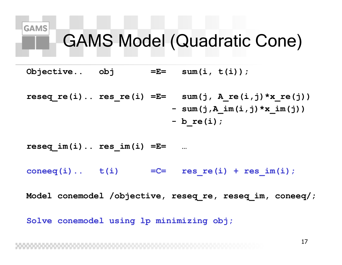# GAMS Model (Quadratic Cone)

**Objective.. obj =E= sum(i, t(i));**

**GAMS** 

**reseq\_re(i).. res\_re(i) =E= sum(j, A\_re(i,j)\*x\_re(j)) - sum(j,A\_im(i,j)\*x\_im(j)) - b\_re(i);**

**reseq\_im(i).. res\_im(i) =E= …**

 $coneq(i)$ ..  $t(i)$  =  $C=$  **res**  $re(i)$  + **res**  $im(i)$ ;

**Model conemodel /objective, reseq\_re, reseq\_im, coneeq/;**

**Solve conemodel using lp minimizing obj;**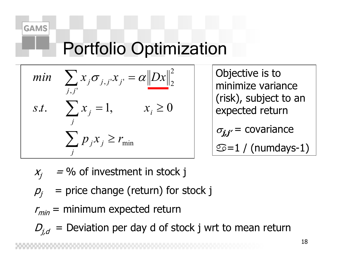## Portfolio Optimization

min 
$$
\sum_{j,j'} x_j \sigma_{j,j} x_j = \alpha ||Dx||_2^2
$$
  
s.t.  $\sum_j x_j = 1$ ,  $x_i \ge 0$   
 $\sum_j p_j x_j \ge r_{\min}$ 

 Objective is to minimize variance (risk), subject to an expected return  $\sigma_{j,j'}$ = covariance  $\circledcirc$ =1 / (numdays-1)

- $X_i$  $=$  % of investment in stock j
- $p =$  price change (return) for stock j
- $r_{min}$  = minimum expected return
- $D_{j,d}\ =\ {\rm Deviation\ per\ day\ d\ of\ stock\ j\ wrt\ to\ mean\ return}$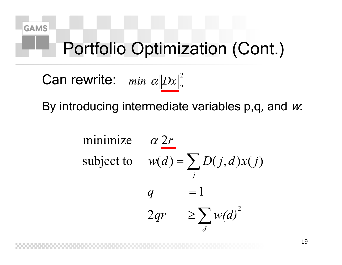

## Portfolio Optimization (Cont.)

Can rewrite:  $min \alpha {\|Dx\|^2}$  $min \ \alpha \|Dx\|_2^2$ 

By introducing intermediate variables p,q*,* and *w*.

minimize 
$$
\alpha \, 2r
$$
  
\nsubject to  $w(d) = \sum_{j} D(j, d) x(j)$   
\n $q = 1$   
\n $2qr \ge \sum_{d} w(d)^2$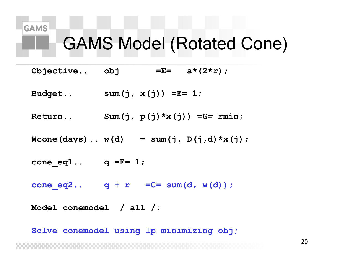## GAMS Model (Rotated Cone)

- **Objective.. obj =E= a\*(2\*r);**
- **Budget.. sum(j, x(j)) =E= 1;**
- **Return.. Sum(j, p(j)\*x(j)) =G= rmin;**
- $Wcone(days)$ ..  $w(d)$  = sum(j,  $D(j, d) * x(j)$ ;
- $cone eq1.. q = E= 1;$
- **cone\_eq2.. q + r =C= sum(d, w(d));**

**Model conemodel / all /;**

**Solve conemodel using lp minimizing obj;**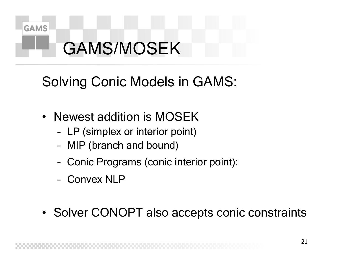

# GAMS/MOSEK

### Solving Conic Models in GAMS:

- Newest addition is MOSEK
	- LP (simplex or interior point)
	- MIP (branch and bound)
	- Conic Programs (conic interior point):
	- –Convex NLP
- Solver CONOPT also accepts conic constraints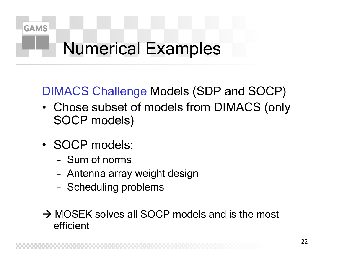

# Numerical Examples

### DIMACS Challenge Models (SDP and SOCP)

- Chose subset of models from DIMACS (only SOCP models)
- SOCP models:
	- –Sum of norms
	- Antenna array weight design
	- Scheduling problems
- $\rightarrow$  MOSEK solves all SOCP models and is the most efficient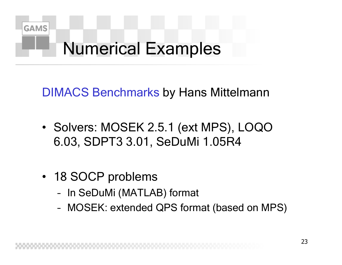

# Numerical Examples

DIMACS Benchmarks by Hans Mittelmann

- Solvers: MOSEK 2.5.1 (ext MPS), LOQO 6.03, SDPT3 3.01, SeDuMi 1.05R4
- 18 SOCP problems
	- In SeDuMi (MATLAB) format
	- MOSEK: extended QPS format (based on MPS)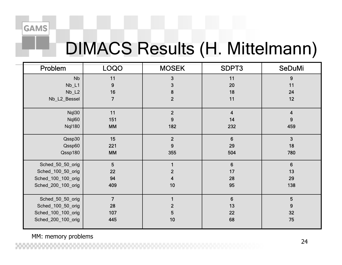## DIMACS Results (H. Mittelmann)

| Problem            | <b>LOQO</b>    | <b>MOSEK</b>   | SDPT3                   | <b>SeDuMi</b>           |
|--------------------|----------------|----------------|-------------------------|-------------------------|
| <b>Nb</b>          | 11             | 3              | 11                      | 9                       |
| $Nb_L1$            | 9              | 3              | 20                      | 11                      |
| $Nb_{12}$          | 16             | 8              | 18                      | 24                      |
| Nb_L2_Bessel       | 7              | $\overline{2}$ | 11                      | 12                      |
| Nql30              | 11             | $\overline{2}$ | $\overline{\mathbf{4}}$ | $\overline{\mathbf{4}}$ |
| Nql60              | 151            | 9              | 14                      | 9                       |
| <b>Nql180</b>      | <b>MM</b>      | 182            | 232                     | 459                     |
| Qssp30             | 15             | $\overline{2}$ | $6\phantom{1}$          | 3                       |
| Qssp60             | 221            | 9              | 29                      | 18                      |
| Qssp180            | <b>MM</b>      | 355            | 504                     | 780                     |
| Sched_50_50_orig   | 5              |                | 6                       | $6\phantom{1}$          |
| Sched_100_50_orig  | 22             | $\mathbf{2}$   | 17                      | 13                      |
| Sched_100_100_orig | 94             | 4              | 28                      | 29                      |
| Sched_200_100_orig | 409            | 10             | 95                      | 138                     |
| Sched_50_50_orig   | $\overline{7}$ |                | $6\phantom{1}$          | 5                       |
| Sched_100_50_orig  | 28             | $\mathbf{2}$   | 13                      | 9                       |
| Sched_100_100_orig | 107            | 5              | 22                      | 32                      |
| Sched_200_100_orig | 445            | 10             | 68                      | 75                      |

MM: memory problems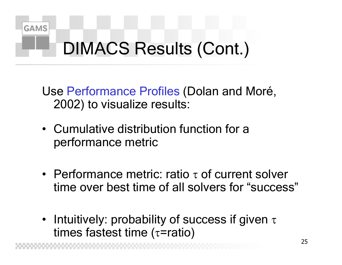

# DIMACS Results (Cont.)

Use Performance Profiles (Dolan and Moré, 2002) to visualize results:

- •Cumulative distribution function for a performance metric
- Performance metric: ratio  $\tau$  of current solver time over best time of all solvers for "success"
- Intuitively: probability of success if given  $\tau$ times fastest time ( τ=ratio)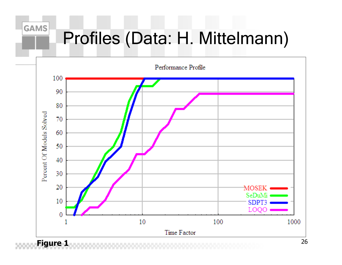# Profiles (Data: H. Mittelmann)

**GAMS** 

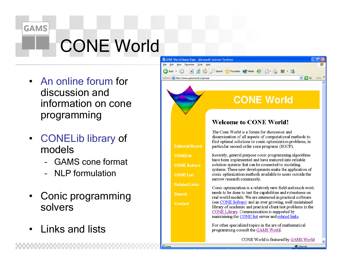

# CONE World

- •• An online forum for discussion and information on cone programming
- • CONELib library of models
	- GAMS cone format
	- NLP formulation
- • Conic programming solvers

**B**lDone

•Links and lists



CONE World is featured by GAMS World

**O** Internet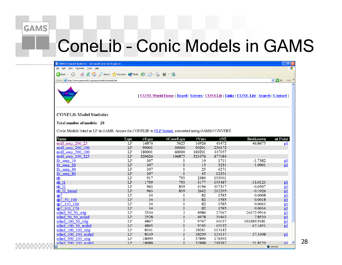sched 200 100 scaled

 $I.P$ 

18088

# **ConeLib - Conic Models in GAMS**

| <sup>2</sup> CONELib Model Statistics - Microsoft Internet Explorer                                                |                   |          |                |        |        |                                                                                     | $\Box$ e $\mathbf{x}$            |  |
|--------------------------------------------------------------------------------------------------------------------|-------------------|----------|----------------|--------|--------|-------------------------------------------------------------------------------------|----------------------------------|--|
| Æ<br>Edit View<br>Help<br>Eile<br>Favorites<br>Tools                                                               |                   |          |                |        |        |                                                                                     |                                  |  |
| ia.<br>Search Severites Commedia<br>$\boxtimes$ $\cdot$ $\cdot$ $\cdot$ $\cdot$<br>Back v<br>84<br>$\vert x \vert$ |                   |          |                |        |        |                                                                                     |                                  |  |
| Address <b>&amp; http://www.gamsworld.org/cone/conelib/conestat.htm</b>                                            |                   |          |                |        |        |                                                                                     | $\vee$ $\rightarrow$ Go<br>Links |  |
|                                                                                                                    |                   |          |                |        |        | [CONE World Home   Board   Solvers   CONELIb   Links   CONE-List   Search   Contact |                                  |  |
| <b>CONELib Model Statistics</b>                                                                                    |                   |          |                |        |        |                                                                                     |                                  |  |
|                                                                                                                    |                   |          |                |        |        |                                                                                     |                                  |  |
| Total number of models: 28                                                                                         |                   |          |                |        |        |                                                                                     |                                  |  |
|                                                                                                                    |                   |          |                |        |        |                                                                                     |                                  |  |
| Conic Models listed as LP in GAMS. Access the CONELIB in NLP format, converted using GAMS/CONVERT.                 |                   |          |                |        |        |                                                                                     |                                  |  |
| <b>Name</b>                                                                                                        |                   | # $Eqns$ | #ConeEqns      | #Vars  | #NZ    | <b>Bestknown</b>                                                                    | at Point                         |  |
| emfl socp 200 25                                                                                                   | <b>Type</b><br>LP | 16876    | 5625           | 16926  | 41472  | 46.8675                                                                             |                                  |  |
| emfl socp 200 100                                                                                                  | LP                | 90001    | 30000          | 90201  | 236172 |                                                                                     | p1                               |  |
| emfl socp 500 100                                                                                                  | LP                | 180001   | 60000          | 180201 | 447957 |                                                                                     |                                  |  |
| emfl socp 250 225                                                                                                  | LP                | 320626   | 106875         | 321076 | 877084 |                                                                                     |                                  |  |
| $fir$ socp 10                                                                                                      | LP                | 307      | 1              | 10     | 1711   | $-1.7382$                                                                           | p1                               |  |
| $\lim$ socp 20                                                                                                     | LP                | 307      | $\mathbf{1}$   | 15     | 3231   | 1.0001                                                                              | p1                               |  |
| $\lim_{x \to 0} \sec(1) 40$                                                                                        | LP                | 307      | $\mathbf{1}$   | 25     | 6271   |                                                                                     |                                  |  |
| $\lim_{x \to 0}$ socp 80                                                                                           | LP                | 307      | $\mathbf{1}$   | 45     | 12351  |                                                                                     |                                  |  |
| nb                                                                                                                 | LP                | 917      | 793            | 2384   | 193901 |                                                                                     |                                  |  |
| nb 11                                                                                                              | LP                | 1709     | 793            | 3177   | 195487 | $-13.0123$                                                                          | p1                               |  |
| nb 12                                                                                                              | LP                | 963      | 839            | 4196   | 407317 | $-0.0507$                                                                           | p1                               |  |
| nb 12 bessel                                                                                                       | LP                | 963      | 839            | 2642   | 212295 | $-0.1026$                                                                           | p1                               |  |
| qp7                                                                                                                | LP                | 34       | 1              | 82     | 1585   | 0.0008                                                                              | p1                               |  |
| ap7 50 100                                                                                                         | LP                | 34       | $\mathbf{1}$   | 82     | 1585   | 0.0018                                                                              | p1                               |  |
| qp7 100 100                                                                                                        | LP                | 34       | $\mathbf{1}$   | 82     | 1585   | 0.0043                                                                              | p1                               |  |
| qp7 100 170                                                                                                        | LP                | 34       | $\mathbf{1}$   | 82     | 1585   | 0.0034                                                                              | p1                               |  |
| sched 50 50 orig                                                                                                   | LP                | 2530     | 2              | 4980   | 27967  | 26672.9916                                                                          | p1                               |  |
| sched 50 50 scaled                                                                                                 | LP                | 2528     | $\mathbf{1}$   | 4978   | 30462  | 7.8520                                                                              | p1                               |  |
| sched 100 50 orig                                                                                                  | LP                | 4847     | 2              | 9747   | 60037  | 181889.9181                                                                         | p1                               |  |
| sched 100 50 scaled                                                                                                | LP                | 4845     | $\mathbf{1}$   | 9745   | 65032  | 67.1651                                                                             | p1                               |  |
| sched $100$ $100$ orig                                                                                             | LP                | 8341     | $\overline{2}$ | 18241  | 113142 |                                                                                     |                                  |  |
| sched 100 100 scaled                                                                                               | LP                | 8339     | $\mathbf{1}$   | 18239  | 123137 | 27.3308                                                                             | p1                               |  |
| sched 200 100 orig                                                                                                 | LP                | 18090    | $\overline{2}$ | 37890  | 278392 |                                                                                     |                                  |  |

37888

298387

51 8120

**O** Internet

28

 $n1$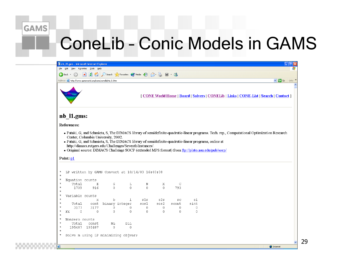# **ConeLib - Conic Models in GAMS**

|                                              | 2 nb_t1.gms - Microsoft Internet Explorer                                                                                                                                  |                                    |                |                                                          |                     |                   |              |              |                                                                                                                                                                                                            | $\lfloor . \rfloor$ a $\lfloor \times$ |
|----------------------------------------------|----------------------------------------------------------------------------------------------------------------------------------------------------------------------------|------------------------------------|----------------|----------------------------------------------------------|---------------------|-------------------|--------------|--------------|------------------------------------------------------------------------------------------------------------------------------------------------------------------------------------------------------------|----------------------------------------|
| Edit<br>View Favorites Tools<br>Help<br>File |                                                                                                                                                                            |                                    |                |                                                          |                     |                   |              |              |                                                                                                                                                                                                            |                                        |
|                                              | O Search <b>A</b> Favorites <b>C</b> Media <b>B B E E</b> · <sup>8</sup><br> z <br>$\vert \mathbf{x} \vert$<br><b>College</b><br>O<br>$\bigodot$ Back $\blacktriangledown$ |                                    |                |                                                          |                     |                   |              |              |                                                                                                                                                                                                            |                                        |
|                                              | $\vee$ $\rightarrow$ Go<br>Address <b>@</b> http://www.gamsworld.org/cone/conelib/nb_l1.htm<br>Links                                                                       |                                    |                |                                                          |                     |                   |              |              |                                                                                                                                                                                                            |                                        |
|                                              |                                                                                                                                                                            |                                    |                |                                                          |                     |                   |              |              | [CONE World Home   Board   Solvers   CONELib   Links   CONE-List   Search   Contact ]                                                                                                                      | A                                      |
|                                              | nb_l1.gms:<br>References:                                                                                                                                                  |                                    |                |                                                          |                     |                   |              |              |                                                                                                                                                                                                            |                                        |
| $^\star$                                     | Point pl<br>LP written by GAMS Convert at 10/14/03 16:40:08                                                                                                                | Center, Columbia University, 2002. |                | http://dimacs.rutgers.edu/Challenges/Seventh/Instances/. |                     |                   |              |              | · Pataki, G, and Schmieta, S, The DIMACS library of semidefinite-quadratic-linear programs, online at<br>• Original source: DIMACS Challenge SOCP (extended MPS format) from ftp://plato.asu.edu/pub/socp/ |                                        |
| $\star$                                      |                                                                                                                                                                            |                                    |                |                                                          |                     |                   |              |              |                                                                                                                                                                                                            |                                        |
| $\star$<br>$^\star$                          | Equation counts                                                                                                                                                            |                                    |                |                                                          |                     |                   |              |              |                                                                                                                                                                                                            |                                        |
| $^\star$<br>$^\star$                         | Total<br>1709                                                                                                                                                              | $\mathbb E$<br>916                 | G<br>$\Omega$  | L<br>$\overline{0}$                                      | N<br>$\overline{0}$ | Х<br>$\mathbf{0}$ | C<br>793     |              |                                                                                                                                                                                                            |                                        |
| $^\star$                                     | Variable counts                                                                                                                                                            |                                    |                |                                                          |                     |                   |              |              |                                                                                                                                                                                                            |                                        |
| $\star$                                      |                                                                                                                                                                            | $\boldsymbol{\mathsf{X}}$          | b              | i                                                        | sls                 | s2s               | SC           | si           |                                                                                                                                                                                                            |                                        |
| $^\star$                                     | Total                                                                                                                                                                      | cont                               | binary integer |                                                          | sos1                | sos2              | scont        | sint         |                                                                                                                                                                                                            |                                        |
| $\star$<br>$\star$                           | 3177                                                                                                                                                                       | 3177                               | 0              | 0                                                        | 0                   | $\mathbf{0}$      | 0            | $\mathbf{0}$ |                                                                                                                                                                                                            |                                        |
| $^\star$                                     | $\Omega$<br><b>FX</b>                                                                                                                                                      | $\mathbf{0}$                       | 0              | $\overline{0}$                                           | $\mathbf{0}$        | $\mathbf{0}$      | $\mathbf{0}$ | $\mathbf{0}$ |                                                                                                                                                                                                            |                                        |
| $^\star$                                     | Nonzero counts                                                                                                                                                             |                                    |                |                                                          |                     |                   |              |              |                                                                                                                                                                                                            |                                        |
| $^\star$                                     | Total                                                                                                                                                                      | const                              | ΝL             | DLL                                                      |                     |                   |              |              |                                                                                                                                                                                                            |                                        |
| $^\star$<br>$^\star$                         |                                                                                                                                                                            | 195487 195487                      | $\Omega$       | 0                                                        |                     |                   |              |              |                                                                                                                                                                                                            |                                        |
| $^\star$                                     | Solve m using LP minimizing objvar;                                                                                                                                        |                                    |                |                                                          |                     |                   |              |              |                                                                                                                                                                                                            |                                        |
| 目                                            |                                                                                                                                                                            |                                    |                |                                                          |                     |                   |              |              | <b>O</b> Internet                                                                                                                                                                                          |                                        |

29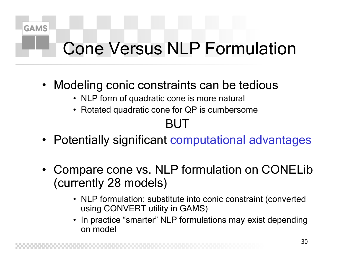

# Cone Versus NLP Formulation

- Modeling conic constraints can be tedious
	- NLP form of quadratic cone is more natural
	- Rotated quadratic cone for QP is c umbersome

### BUT

- Potentially significant computational advantages
- Compare cone vs. NLP formulation on CONELib (currently 28 models)
	- NLP formulation: substitute into conic constraint (converted using CONVERT utility in GAMS)
	- • In practice "smarter" NLP formulations may exist depending on model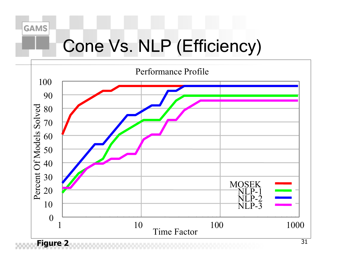

# Cone Vs. NLP (Efficiency)

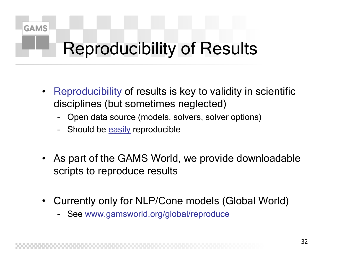

# Reproducibility of Results

- $\bullet$  Reproducibility of results is key to validity in scientific disciplines (but sometimes neglected)
	- Open data source (models, solvers, solver options)
	- Should be easily reproducible
- As part of the GAMS World, we provide downloadable scripts to reproduce results
- •Currently only for NLP/Cone models (Global World)
	- See w ww.gamsworld.org/global/reproduce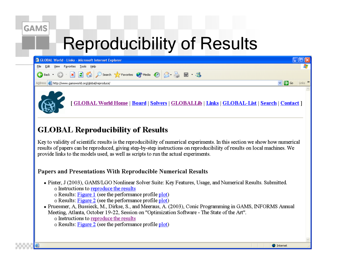### **Reproducibility of Results**

| GLOBAL World - Links - Microsoft Internet Explorer                                          |                                             |
|---------------------------------------------------------------------------------------------|---------------------------------------------|
| Edit View Favorites Tools Help<br>Eile                                                      |                                             |
| <b>C</b> Back • ○ · × ② △ ○ Search ☆ Favorites ◆ Media ④ <del>②</del> △ 图 · ※               |                                             |
| Address <b>&amp; http://www.gamsworld.org/global/reproduce/</b>                             | $\vee$ $\rightarrow$ Go Links $\rightarrow$ |
| [GLOBAL World Home   Board   Solvers   GLOBALLib   Links   GLOBAL-List   Search   Contact ] |                                             |

### **GLOBAL Reproducibility of Results**

Key to validity of scientific results is the reproducibility of numerical experiments. In this section we show how numerical results of papers can be reproduced, giving step-by-step instructions on reproducibility of results on local machines. We provide links to the models used, as well as scripts to run the actual experiments.

#### Papers and Presentations With Reproducible Numerical Results

- Pinter, J (2003), GAMS/LGO Nonlinear Solver Suite: Key Features, Usage, and Numerical Results. Submitted. o Instructions to reproduce the results
	- $\circ$  Results: Figure 1 (see the performance profile plot)
	- o Results: Figure 2 (see the performance profile plot)
- Pruessner, A, Bussieck, M., Dirkse, S., and Meeraus, A. (2003), Conic Programming in GAMS, INFORMS Annual Meeting, Atlanta, October 19-22, Session on "Optimization Software - The State of the Art".
	- o Instructions to reproduce the results
	- o Results: Figure 2 (see the performance profile plot)

**O** Internet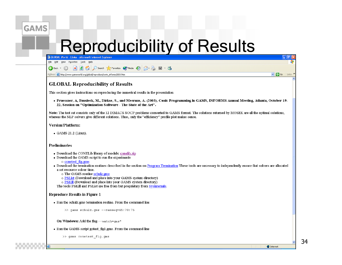### **Reproducibility of Results**



#### Version/Platform:

 $\bullet$  GAMS 21.2 (Linux)

#### Preliminaries

- Download the CONELib library of models: conelib.zip
- Download the GAMS script to run the experiments
	- $\circ$  conetest fig.gms
- Download the termination routines described in the section on Program Termination These tools are necessary to independently ensure that solvers are allocated a set resource solver time.
	- o The GAMS routine schulz.gms
	- o PSList (Download and place into your GAMS system directory)
	- o PSKill (Download and place into your GAMS system directory)

The tools PSKill and PSList are free from but proprietary from Sysinternals.

#### **Reproduce Results in Figure 1**

• Run the schulz gms termination routine. From the command line

>> gams schulz.gms --resseq=65:70:75

On Windows: Add the flag  $--$ watch=qms\*

- Run the GAMS script gotest fig1.gms. From the command line
	- >> gams conetest\_fig.gms

**O** Internet

34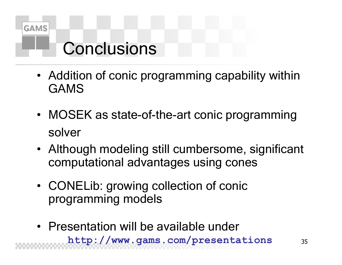

### Conclusions

- Addition of conic programming capability within GAMS
- MOSEK as state-of-the-art conic programming solver
- Although modeling still cumbersome, significant computational advantages using cones
- CONELib: growing collection of conic programming models
- Presentation will be available under **http://www.gams.com/presentations**